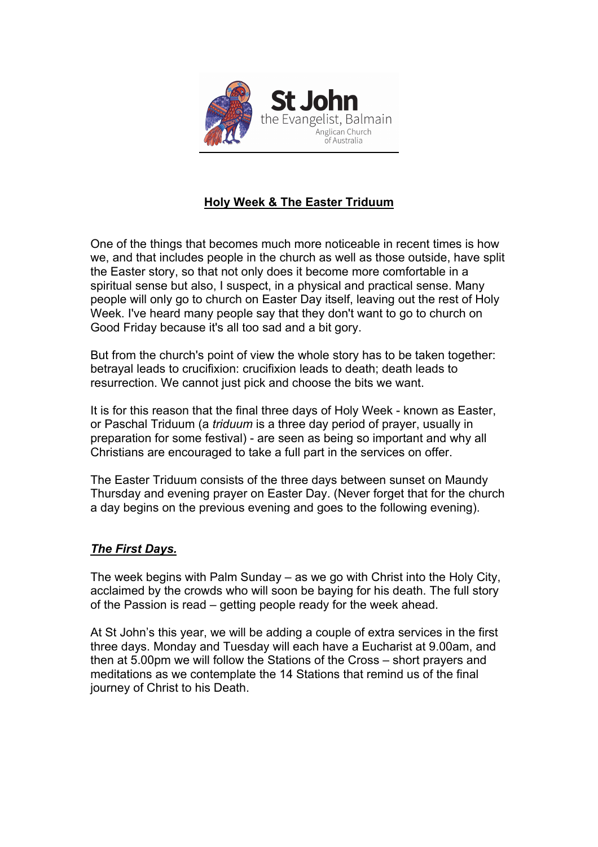

# **Holy Week & The Easter Triduum**

One of the things that becomes much more noticeable in recent times is how we, and that includes people in the church as well as those outside, have split the Easter story, so that not only does it become more comfortable in a spiritual sense but also, I suspect, in a physical and practical sense. Many people will only go to church on Easter Day itself, leaving out the rest of Holy Week. I've heard many people say that they don't want to go to church on Good Friday because it's all too sad and a bit gory.

But from the church's point of view the whole story has to be taken together: betrayal leads to crucifixion: crucifixion leads to death; death leads to resurrection. We cannot just pick and choose the bits we want.

It is for this reason that the final three days of Holy Week - known as Easter, or Paschal Triduum (a *triduum* is a three day period of prayer, usually in preparation for some festival) - are seen as being so important and why all Christians are encouraged to take a full part in the services on offer.

The Easter Triduum consists of the three days between sunset on Maundy Thursday and evening prayer on Easter Day. (Never forget that for the church a day begins on the previous evening and goes to the following evening).

## *The First Days.*

The week begins with Palm Sunday – as we go with Christ into the Holy City, acclaimed by the crowds who will soon be baying for his death. The full story of the Passion is read – getting people ready for the week ahead.

At St John's this year, we will be adding a couple of extra services in the first three days. Monday and Tuesday will each have a Eucharist at 9.00am, and then at 5.00pm we will follow the Stations of the Cross – short prayers and meditations as we contemplate the 14 Stations that remind us of the final journey of Christ to his Death.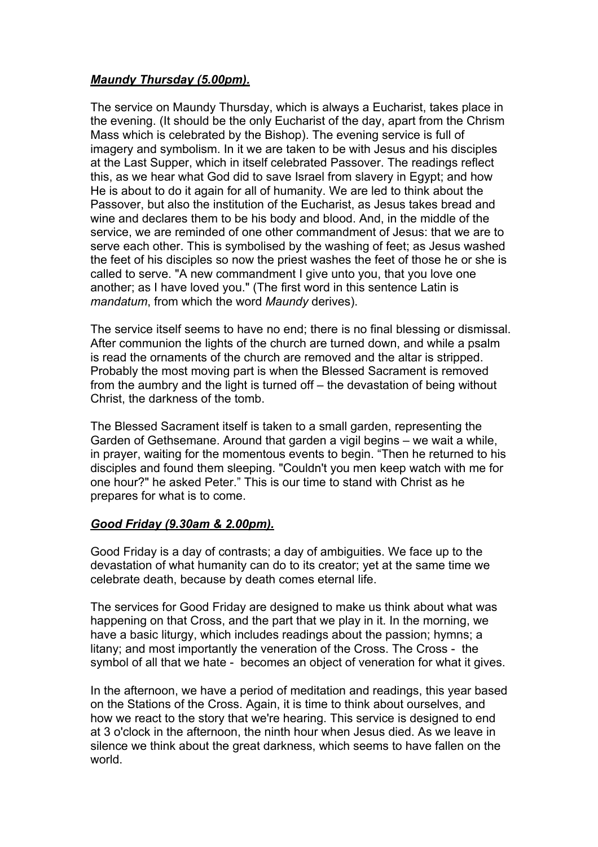## *Maundy Thursday (5.00pm).*

The service on Maundy Thursday, which is always a Eucharist, takes place in the evening. (It should be the only Eucharist of the day, apart from the Chrism Mass which is celebrated by the Bishop). The evening service is full of imagery and symbolism. In it we are taken to be with Jesus and his disciples at the Last Supper, which in itself celebrated Passover. The readings reflect this, as we hear what God did to save Israel from slavery in Egypt; and how He is about to do it again for all of humanity. We are led to think about the Passover, but also the institution of the Eucharist, as Jesus takes bread and wine and declares them to be his body and blood. And, in the middle of the service, we are reminded of one other commandment of Jesus: that we are to serve each other. This is symbolised by the washing of feet; as Jesus washed the feet of his disciples so now the priest washes the feet of those he or she is called to serve. "A new commandment I give unto you, that you love one another; as I have loved you." (The first word in this sentence Latin is *mandatum*, from which the word *Maundy* derives).

The service itself seems to have no end; there is no final blessing or dismissal. After communion the lights of the church are turned down, and while a psalm is read the ornaments of the church are removed and the altar is stripped. Probably the most moving part is when the Blessed Sacrament is removed from the aumbry and the light is turned off – the devastation of being without Christ, the darkness of the tomb.

The Blessed Sacrament itself is taken to a small garden, representing the Garden of Gethsemane. Around that garden a vigil begins – we wait a while, in prayer, waiting for the momentous events to begin. "Then he returned to his disciples and found them sleeping. "Couldn't you men keep watch with me for one hour?" he asked Peter." This is our time to stand with Christ as he prepares for what is to come.

## *Good Friday (9.30am & 2.00pm).*

Good Friday is a day of contrasts; a day of ambiguities. We face up to the devastation of what humanity can do to its creator; yet at the same time we celebrate death, because by death comes eternal life.

The services for Good Friday are designed to make us think about what was happening on that Cross, and the part that we play in it. In the morning, we have a basic liturgy, which includes readings about the passion; hymns; a litany; and most importantly the veneration of the Cross. The Cross - the symbol of all that we hate - becomes an object of veneration for what it gives.

In the afternoon, we have a period of meditation and readings, this year based on the Stations of the Cross. Again, it is time to think about ourselves, and how we react to the story that we're hearing. This service is designed to end at 3 o'clock in the afternoon, the ninth hour when Jesus died. As we leave in silence we think about the great darkness, which seems to have fallen on the world.